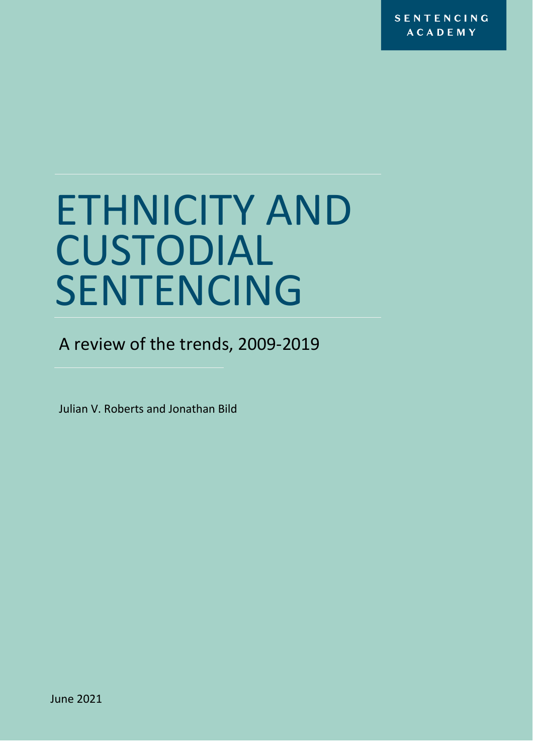# ETHNICITY AND CUSTODIAL SENTENCING

A review of the trends, 2009-2019

Julian V. Roberts and Jonathan Bild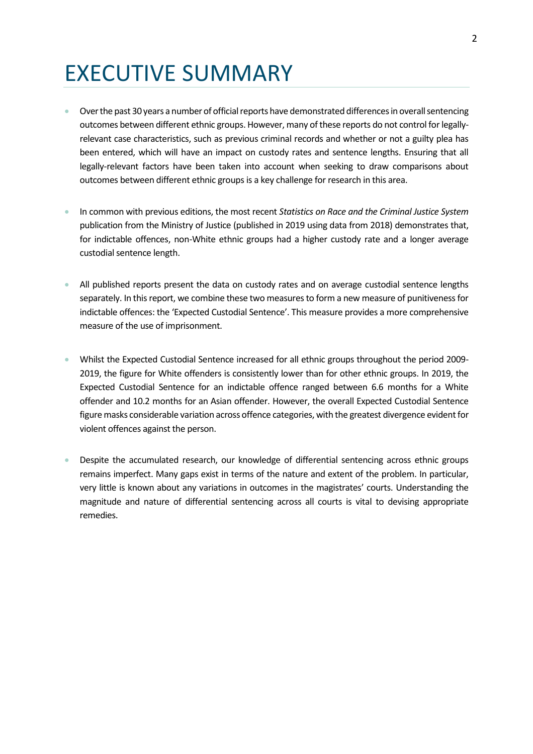## EXECUTIVE SUMMARY

- Over the past 30 years a number of official reports have demonstrated differences in overall sentencing outcomes between different ethnic groups. However, many of these reports do not control for legallyrelevant case characteristics, such as previous criminal records and whether or not a guilty plea has been entered, which will have an impact on custody rates and sentence lengths. Ensuring that all legally-relevant factors have been taken into account when seeking to draw comparisons about outcomes between different ethnic groups is a key challenge for research in this area.
- In common with previous editions, the most recent *Statistics on Race and the Criminal Justice System* publication from the Ministry of Justice (published in 2019 using data from 2018) demonstrates that, for indictable offences, non-White ethnic groups had a higher custody rate and a longer average custodial sentence length.
- All published reports present the data on custody rates and on average custodial sentence lengths separately. In this report, we combine these two measures to form a new measure of punitiveness for indictable offences: the 'Expected Custodial Sentence'. This measure provides a more comprehensive measure of the use of imprisonment.
- Whilst the Expected Custodial Sentence increased for all ethnic groups throughout the period 2009- 2019, the figure for White offenders is consistently lower than for other ethnic groups. In 2019, the Expected Custodial Sentence for an indictable offence ranged between 6.6 months for a White offender and 10.2 months for an Asian offender. However, the overall Expected Custodial Sentence figure masks considerable variation across offence categories, with the greatest divergence evident for violent offences against the person.
- Despite the accumulated research, our knowledge of differential sentencing across ethnic groups remains imperfect. Many gaps exist in terms of the nature and extent of the problem. In particular, very little is known about any variations in outcomes in the magistrates' courts. Understanding the magnitude and nature of differential sentencing across all courts is vital to devising appropriate remedies.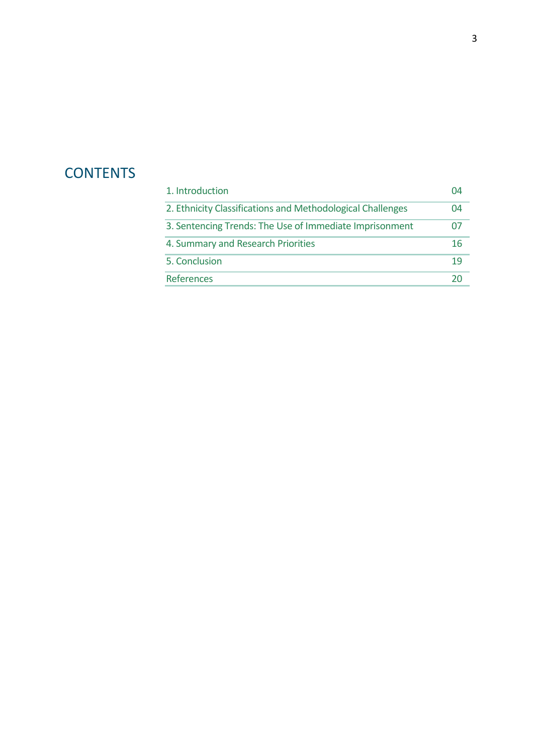### **CONTENTS**

| 1. Introduction                                            | 04 |
|------------------------------------------------------------|----|
| 2. Ethnicity Classifications and Methodological Challenges | 04 |
| 3. Sentencing Trends: The Use of Immediate Imprisonment    | 07 |
| 4. Summary and Research Priorities                         | 16 |
| 5. Conclusion                                              | 19 |
| <b>References</b>                                          |    |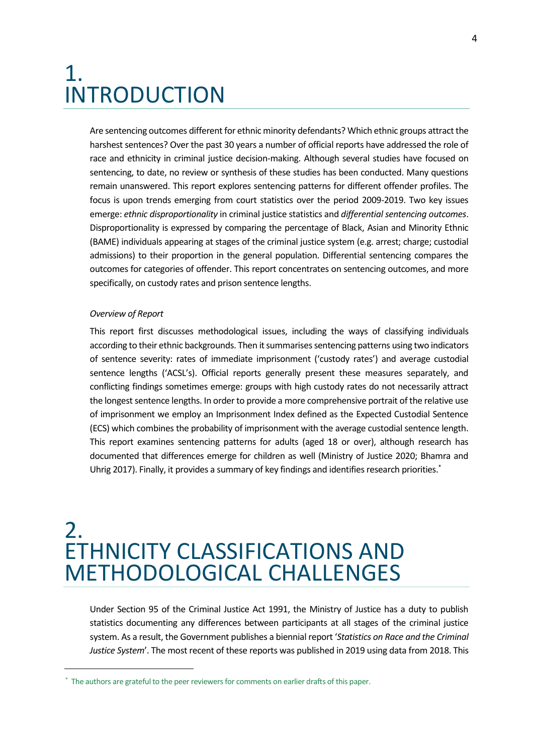### 1. INTRODUCTION

Are sentencing outcomes different for ethnic minority defendants? Which ethnic groups attract the harshest sentences? Over the past 30 years a number of official reports have addressed the role of race and ethnicity in criminal justice decision-making. Although several studies have focused on sentencing, to date, no review or synthesis of these studies has been conducted. Many questions remain unanswered. This report explores sentencing patterns for different offender profiles. The focus is upon trends emerging from court statistics over the period 2009-2019. Two key issues emerge: *ethnic disproportionality* in criminal justice statistics and *differential sentencing outcomes*. Disproportionality is expressed by comparing the percentage of Black, Asian and Minority Ethnic (BAME) individuals appearing at stages of the criminal justice system (e.g. arrest; charge; custodial admissions) to their proportion in the general population. Differential sentencing compares the outcomes for categories of offender. This report concentrates on sentencing outcomes, and more specifically, on custody rates and prison sentence lengths.

#### *Overview of Report*

This report first discusses methodological issues, including the ways of classifying individuals according to their ethnic backgrounds. Then it summarises sentencing patterns using two indicators of sentence severity: rates of immediate imprisonment ('custody rates') and average custodial sentence lengths ('ACSL's). Official reports generally present these measures separately, and conflicting findings sometimes emerge: groups with high custody rates do not necessarily attract the longest sentence lengths. In order to provide a more comprehensive portrait of the relative use of imprisonment we employ an Imprisonment Index defined as the Expected Custodial Sentence (ECS) which combines the probability of imprisonment with the average custodial sentence length. This report examines sentencing patterns for adults (aged 18 or over), although research has documented that differences emerge for children as well (Ministry of Justice 2020; Bhamra and Uhrig 2017). Finally, it provides a summary of key findings and identifies research priorities.<sup>\*</sup>

### 2. ETHNICITY CLASSIFICATIONS AND METHODOLOGICAL CHALLENGES

Under Section 95 of the Criminal Justice Act 1991, the Ministry of Justice has a duty to publish statistics documenting any differences between participants at all stages of the criminal justice system. As a result, the Government publishes a biennial report '*Statistics on Race and the Criminal Justice System*'. The most recent of these reports was published in 2019 using data from 2018. This

<sup>\*</sup> The authors are grateful to the peer reviewers for comments on earlier drafts of this paper.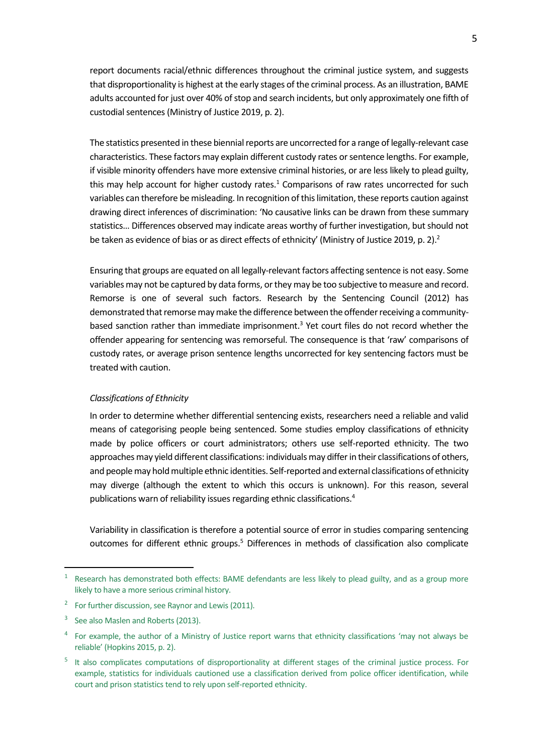report documents racial/ethnic differences throughout the criminal justice system, and suggests that disproportionality is highest at the early stages of the criminal process. As an illustration, BAME adults accounted for just over 40% of stop and search incidents, but only approximately one fifth of custodial sentences (Ministry of Justice 2019, p. 2).

The statistics presented in these biennial reports are uncorrected for a range of legally-relevant case characteristics. These factors may explain different custody rates or sentence lengths. For example, if visible minority offenders have more extensive criminal histories, or are less likely to plead guilty, this may help account for higher custody rates. $1$  Comparisons of raw rates uncorrected for such variables can therefore be misleading. In recognition of this limitation, these reports caution against drawing direct inferences of discrimination: 'No causative links can be drawn from these summary statistics… Differences observed may indicate areas worthy of further investigation, but should not be taken as evidence of bias or as direct effects of ethnicity' (Ministry of Justice 2019, p. 2).<sup>2</sup>

Ensuring that groups are equated on all legally-relevant factors affecting sentence is not easy. Some variables may not be captured by data forms, or they may be too subjective to measure and record. Remorse is one of several such factors. Research by the Sentencing Council (2012) has demonstrated that remorse may make the difference between the offender receiving a communitybased sanction rather than immediate imprisonment.<sup>3</sup> Yet court files do not record whether the offender appearing for sentencing was remorseful. The consequence is that 'raw' comparisons of custody rates, or average prison sentence lengths uncorrected for key sentencing factors must be treated with caution.

#### *Classifications of Ethnicity*

In order to determine whether differential sentencing exists, researchers need a reliable and valid means of categorising people being sentenced. Some studies employ classifications of ethnicity made by police officers or court administrators; others use self-reported ethnicity. The two approaches may yield different classifications: individuals may differ in their classifications of others, and people may hold multiple ethnic identities. Self-reported and external classifications of ethnicity may diverge (although the extent to which this occurs is unknown). For this reason, several publications warn of reliability issues regarding ethnic classifications.<sup>4</sup>

Variability in classification is therefore a potential source of error in studies comparing sentencing outcomes for different ethnic groups.<sup>5</sup> Differences in methods of classification also complicate

Research has demonstrated both effects: BAME defendants are less likely to plead guilty, and as a group more likely to have a more serious criminal history.

<sup>&</sup>lt;sup>2</sup> For further discussion, see Raynor and Lewis (2011).

<sup>&</sup>lt;sup>3</sup> See also Maslen and Roberts (2013).

<sup>&</sup>lt;sup>4</sup> For example, the author of a Ministry of Justice report warns that ethnicity classifications 'may not always be reliable' (Hopkins 2015, p. 2).

<sup>&</sup>lt;sup>5</sup> It also complicates computations of disproportionality at different stages of the criminal justice process. For example, statistics for individuals cautioned use a classification derived from police officer identification, while court and prison statistics tend to rely upon self-reported ethnicity.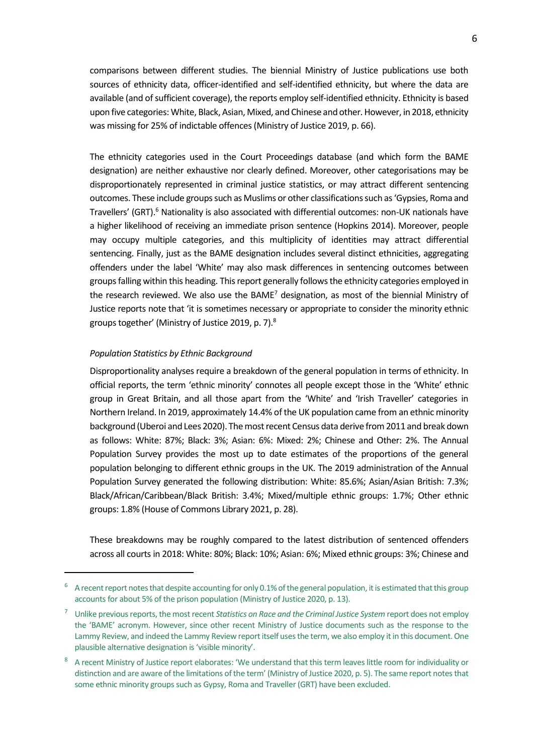comparisons between different studies. The biennial Ministry of Justice publications use both sources of ethnicity data, officer-identified and self-identified ethnicity, but where the data are available (and of sufficient coverage), the reports employ self-identified ethnicity. Ethnicity is based upon five categories: White, Black, Asian, Mixed, and Chinese and other. However, in 2018, ethnicity was missing for 25% of indictable offences (Ministry of Justice 2019, p. 66).

The ethnicity categories used in the Court Proceedings database (and which form the BAME designation) are neither exhaustive nor clearly defined. Moreover, other categorisations may be disproportionately represented in criminal justice statistics, or may attract different sentencing outcomes. These include groups such as Muslims or other classifications such as 'Gypsies, Roma and Travellers' (GRT).<sup>6</sup> Nationality is also associated with differential outcomes: non-UK nationals have a higher likelihood of receiving an immediate prison sentence (Hopkins 2014). Moreover, people may occupy multiple categories, and this multiplicity of identities may attract differential sentencing. Finally, just as the BAME designation includes several distinct ethnicities, aggregating offenders under the label 'White' may also mask differences in sentencing outcomes between groups falling within this heading. This report generally follows the ethnicity categories employed in the research reviewed. We also use the BAME<sup>7</sup> designation, as most of the biennial Ministry of Justice reports note that 'it is sometimes necessary or appropriate to consider the minority ethnic groups together' (Ministry of Justice 2019, p. 7).<sup>8</sup>

#### *Population Statistics by Ethnic Background*

Disproportionality analyses require a breakdown of the general population in terms of ethnicity. In official reports, the term 'ethnic minority' connotes all people except those in the 'White' ethnic group in Great Britain, and all those apart from the 'White' and 'Irish Traveller' categories in Northern Ireland. In 2019, approximately 14.4% of the UK population came from an ethnic minority background (Uberoi and Lees 2020). The most recent Census data derive from 2011 and break down as follows: White: 87%; Black: 3%; Asian: 6%: Mixed: 2%; Chinese and Other: 2%. The Annual Population Survey provides the most up to date estimates of the proportions of the general population belonging to different ethnic groups in the UK. The 2019 administration of the Annual Population Survey generated the following distribution: White: 85.6%; Asian/Asian British: 7.3%; Black/African/Caribbean/Black British: 3.4%; Mixed/multiple ethnic groups: 1.7%; Other ethnic groups: 1.8% (House of Commons Library 2021, p. 28).

These breakdowns may be roughly compared to the latest distribution of sentenced offenders across all courts in 2018: White: 80%; Black: 10%; Asian: 6%; Mixed ethnic groups: 3%; Chinese and

 $6$  A recent report notes that despite accounting for only 0.1% of the general population, it is estimated that this group accounts for about 5% of the prison population (Ministry of Justice 2020, p. 13).

<sup>7</sup> Unlike previous reports, the most recent *Statistics on Race and the Criminal Justice System* report does not employ the 'BAME' acronym. However, since other recent Ministry of Justice documents such as the response to the Lammy Review, and indeed the Lammy Review report itself uses the term, we also employ it in this document. One plausible alternative designation is 'visible minority'.

<sup>8</sup> A recent Ministry of Justice report elaborates: 'We understand that this term leaves little room for individuality or distinction and are aware of the limitations of the term' (Ministry of Justice 2020, p. 5). The same report notes that some ethnic minority groups such as Gypsy, Roma and Traveller (GRT) have been excluded.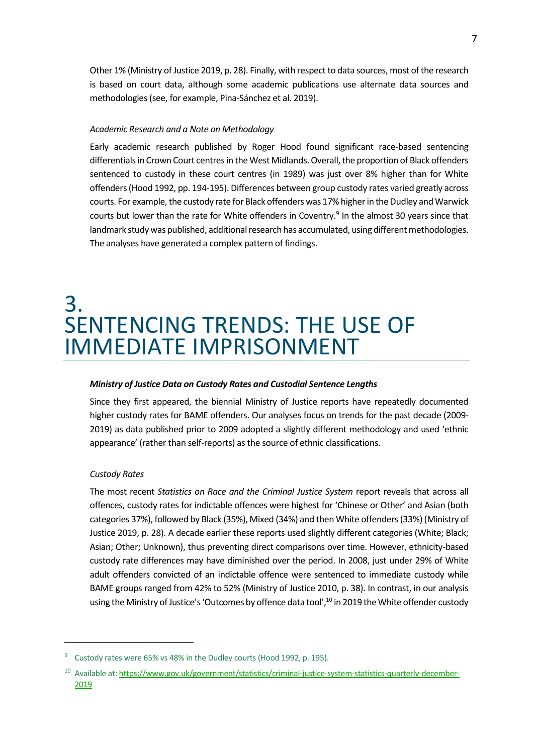Other 1% (Ministry of Justice 2019, p. 28). Finally, with respect to data sources, most of the research is based on court data, although some academic publications use alternate data sources and methodologies (see, for example, Pina-Sánchez et al. 2019).

#### *Academic Research and a Note on Methodology*

Early academic research published by Roger Hood found significant race-based sentencing differentials in Crown Court centres in the West Midlands. Overall, the proportion of Black offenders sentenced to custody in these court centres (in 1989) was just over 8% higher than for White offenders (Hood 1992, pp. 194-195). Differences between group custody rates varied greatly across courts. For example, the custody rate for Black offenders was 17% higher in the Dudley and Warwick courts but lower than the rate for White offenders in Coventry.<sup>9</sup> In the almost 30 years since that landmark study was published, additional research has accumulated, using different methodologies. The analyses have generated a complex pattern of findings.

### 3. SENTENCING TRENDS: THE USE OF IMMEDIATE IMPRISONMENT

#### *Ministry of Justice Data on Custody Rates and Custodial Sentence Lengths*

Since they first appeared, the biennial Ministry of Justice reports have repeatedly documented higher custody rates for BAME offenders. Our analyses focus on trends for the past decade (2009- 2019) as data published prior to 2009 adopted a slightly different methodology and used 'ethnic appearance' (rather than self-reports) as the source of ethnic classifications.

#### *Custody Rates*

The most recent *Statistics on Race and the Criminal Justice System* report reveals that across all offences, custody rates for indictable offences were highest for 'Chinese or Other' and Asian (both categories 37%), followed by Black (35%), Mixed (34%) and then White offenders (33%) (Ministry of Justice 2019, p. 28). A decade earlier these reports used slightly different categories (White; Black; Asian; Other; Unknown), thus preventing direct comparisons over time. However, ethnicity-based custody rate differences may have diminished over the period. In 2008, just under 29% of White adult offenders convicted of an indictable offence were sentenced to immediate custody while BAME groups ranged from 42% to 52% (Ministry of Justice 2010, p. 38). In contrast, in our analysis using the Ministry of Justice's 'Outcomes by offence data tool',<sup>10</sup> in 2019 the White offender custody

<sup>&</sup>lt;sup>9</sup> Custody rates were 65% vs 48% in the Dudley courts (Hood 1992, p. 195).

<sup>&</sup>lt;sup>10</sup> Available at[: https://www.gov.uk/government/statistics/criminal-justice-system-statistics-quarterly-december-](https://www.gov.uk/government/statistics/criminal-justice-system-statistics-quarterly-december-2019)[2019](https://www.gov.uk/government/statistics/criminal-justice-system-statistics-quarterly-december-2019)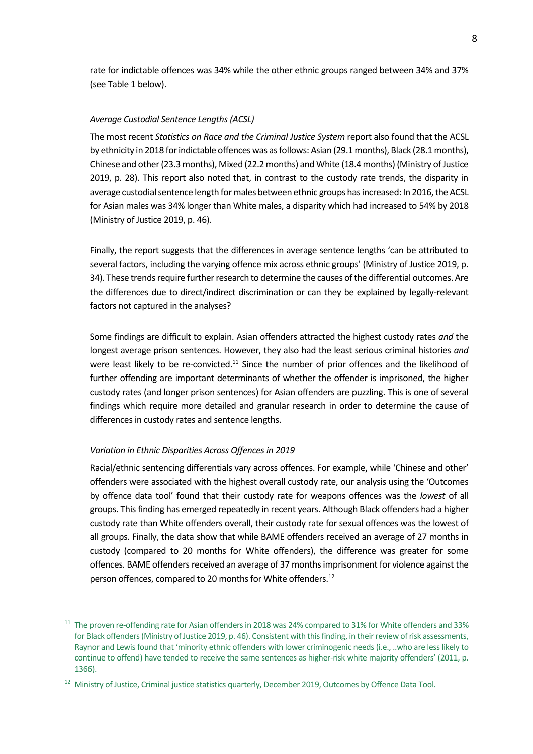rate for indictable offences was 34% while the other ethnic groups ranged between 34% and 37% (see Table 1 below).

#### *Average Custodial Sentence Lengths (ACSL)*

The most recent *Statistics on Race and the Criminal Justice System* report also found that the ACSL by ethnicity in 2018 for indictable offences was as follows: Asian (29.1 months), Black (28.1 months), Chinese and other (23.3 months), Mixed (22.2 months) and White (18.4 months) (Ministry of Justice 2019, p. 28). This report also noted that, in contrast to the custody rate trends, the disparity in average custodial sentence length for males between ethnic groups has increased: In 2016, the ACSL for Asian males was 34% longer than White males, a disparity which had increased to 54% by 2018 (Ministry of Justice 2019, p. 46).

Finally, the report suggests that the differences in average sentence lengths 'can be attributed to several factors, including the varying offence mix across ethnic groups' (Ministry of Justice 2019, p. 34). These trends require further research to determine the causes of the differential outcomes. Are the differences due to direct/indirect discrimination or can they be explained by legally-relevant factors not captured in the analyses?

Some findings are difficult to explain. Asian offenders attracted the highest custody rates *and* the longest average prison sentences. However, they also had the least serious criminal histories *and* were least likely to be re-convicted.<sup>11</sup> Since the number of prior offences and the likelihood of further offending are important determinants of whether the offender is imprisoned, the higher custody rates (and longer prison sentences) for Asian offenders are puzzling. This is one of several findings which require more detailed and granular research in order to determine the cause of differences in custody rates and sentence lengths.

#### *Variation in Ethnic Disparities Across Offences in 2019*

Racial/ethnic sentencing differentials vary across offences. For example, while 'Chinese and other' offenders were associated with the highest overall custody rate, our analysis using the 'Outcomes by offence data tool' found that their custody rate for weapons offences was the *lowest* of all groups. This finding has emerged repeatedly in recent years. Although Black offenders had a higher custody rate than White offenders overall, their custody rate for sexual offences was the lowest of all groups. Finally, the data show that while BAME offenders received an average of 27 months in custody (compared to 20 months for White offenders), the difference was greater for some offences. BAME offenders received an average of 37 months imprisonment for violence against the person offences, compared to 20 months for White offenders.<sup>12</sup>

<sup>&</sup>lt;sup>11</sup> The proven re-offending rate for Asian offenders in 2018 was 24% compared to 31% for White offenders and 33% for Black offenders (Ministry of Justice 2019, p. 46). Consistent with this finding, in their review of risk assessments, Raynor and Lewis found that 'minority ethnic offenders with lower criminogenic needs (i.e., ..who are less likely to continue to offend) have tended to receive the same sentences as higher-risk white majority offenders' (2011, p. 1366).

<sup>&</sup>lt;sup>12</sup> Ministry of Justice, Criminal justice statistics quarterly, December 2019, Outcomes by Offence Data Tool.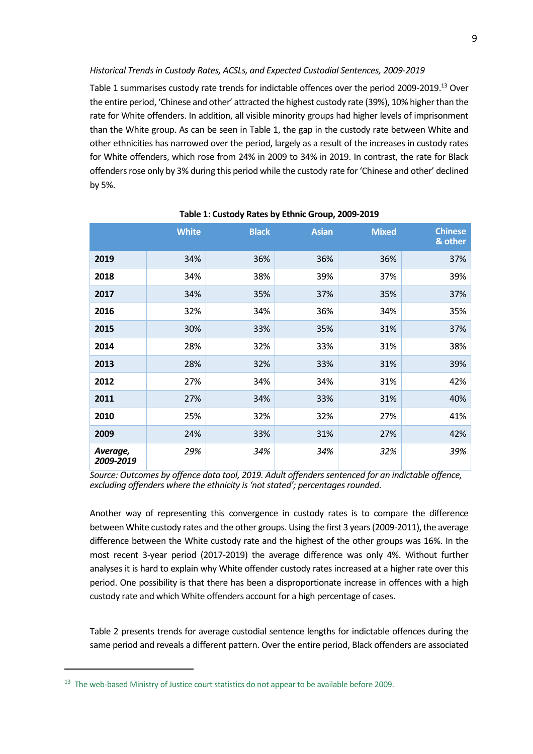*Historical Trends in Custody Rates, ACSLs, and Expected Custodial Sentences, 2009-2019*

Table 1 summarises custody rate trends for indictable offences over the period 2009-2019.<sup>13</sup> Over the entire period, 'Chinese and other' attracted the highest custody rate (39%), 10% higher than the rate for White offenders. In addition, all visible minority groups had higher levels of imprisonment than the White group. As can be seen in Table 1, the gap in the custody rate between White and other ethnicities has narrowed over the period, largely as a result of the increases in custody rates for White offenders, which rose from 24% in 2009 to 34% in 2019. In contrast, the rate for Black offenders rose only by 3% during this period while the custody rate for 'Chinese and other' declined by 5%.

|                       | <b>White</b> | <b>Black</b> | <b>Asian</b> | <b>Mixed</b> | <b>Chinese</b><br>& other |
|-----------------------|--------------|--------------|--------------|--------------|---------------------------|
| 2019                  | 34%          | 36%          | 36%          | 36%          | 37%                       |
| 2018                  | 34%          | 38%          | 39%          | 37%          | 39%                       |
| 2017                  | 34%          | 35%          | 37%          | 35%          | 37%                       |
| 2016                  | 32%          | 34%          | 36%          | 34%          | 35%                       |
| 2015                  | 30%          | 33%          | 35%          | 31%          | 37%                       |
| 2014                  | 28%          | 32%          | 33%          | 31%          | 38%                       |
| 2013                  | 28%          | 32%          | 33%          | 31%          | 39%                       |
| 2012                  | 27%          | 34%          | 34%          | 31%          | 42%                       |
| 2011                  | 27%          | 34%          | 33%          | 31%          | 40%                       |
| 2010                  | 25%          | 32%          | 32%          | 27%          | 41%                       |
| 2009                  | 24%          | 33%          | 31%          | 27%          | 42%                       |
| Average,<br>2009-2019 | 29%          | 34%          | 34%          | 32%          | 39%                       |

#### **Table 1: Custody Rates by Ethnic Group, 2009-2019**

*Source: Outcomes by offence data tool, 2019. Adult offenders sentenced for an indictable offence, excluding offenders where the ethnicity is 'not stated'; percentages rounded.*

Another way of representing this convergence in custody rates is to compare the difference between White custody rates and the other groups. Using the first 3 years (2009-2011), the average difference between the White custody rate and the highest of the other groups was 16%. In the most recent 3-year period (2017-2019) the average difference was only 4%. Without further analyses it is hard to explain why White offender custody rates increased at a higher rate over this period. One possibility is that there has been a disproportionate increase in offences with a high custody rate and which White offenders account for a high percentage of cases.

Table 2 presents trends for average custodial sentence lengths for indictable offences during the same period and reveals a different pattern. Over the entire period, Black offenders are associated

<sup>&</sup>lt;sup>13</sup> The web-based Ministry of Justice court statistics do not appear to be available before 2009.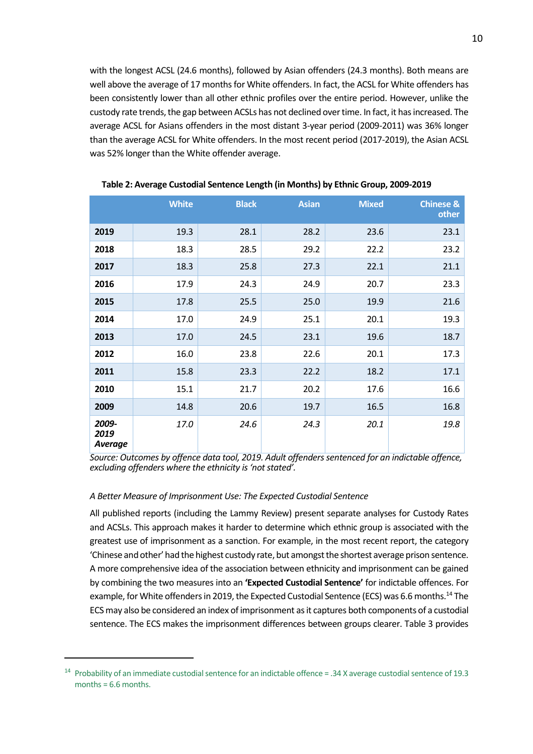with the longest ACSL (24.6 months), followed by Asian offenders (24.3 months). Both means are well above the average of 17 months for White offenders. In fact, the ACSL for White offenders has been consistently lower than all other ethnic profiles over the entire period. However, unlike the custody rate trends, the gap between ACSLs has not declined over time. In fact, it has increased. The average ACSL for Asians offenders in the most distant 3-year period (2009-2011) was 36% longer than the average ACSL for White offenders. In the most recent period (2017-2019), the Asian ACSL was 52% longer than the White offender average.

|                                 | <b>White</b> | <b>Black</b> | <b>Asian</b> | <b>Mixed</b> | <b>Chinese &amp;</b><br>other |
|---------------------------------|--------------|--------------|--------------|--------------|-------------------------------|
| 2019                            | 19.3         | 28.1         | 28.2         | 23.6         | 23.1                          |
| 2018                            | 18.3         | 28.5         | 29.2         | 22.2         | 23.2                          |
| 2017                            | 18.3         | 25.8         | 27.3         | 22.1         | 21.1                          |
| 2016                            | 17.9         | 24.3         | 24.9         | 20.7         | 23.3                          |
| 2015                            | 17.8         | 25.5         | 25.0         | 19.9         | 21.6                          |
| 2014                            | 17.0         | 24.9         | 25.1         | 20.1         | 19.3                          |
| 2013                            | 17.0         | 24.5         | 23.1         | 19.6         | 18.7                          |
| 2012                            | 16.0         | 23.8         | 22.6         | 20.1         | 17.3                          |
| 2011                            | 15.8         | 23.3         | 22.2         | 18.2         | 17.1                          |
| 2010                            | 15.1         | 21.7         | 20.2         | 17.6         | 16.6                          |
| 2009                            | 14.8         | 20.6         | 19.7         | 16.5         | 16.8                          |
| 2009-<br>2019<br><b>Average</b> | 17.0         | 24.6         | 24.3         | 20.1         | 19.8                          |

**Table 2: Average Custodial Sentence Length (in Months) by Ethnic Group, 2009-2019**

*Source: Outcomes by offence data tool, 2019. Adult offenders sentenced for an indictable offence, excluding offenders where the ethnicity is 'not stated'.*

#### *A Better Measure of Imprisonment Use: The Expected Custodial Sentence*

All published reports (including the Lammy Review) present separate analyses for Custody Rates and ACSLs. This approach makes it harder to determine which ethnic group is associated with the greatest use of imprisonment as a sanction. For example, in the most recent report, the category 'Chinese and other' had the highest custody rate, but amongst the shortest average prison sentence. A more comprehensive idea of the association between ethnicity and imprisonment can be gained by combining the two measures into an **'Expected Custodial Sentence'** for indictable offences. For example, for White offenders in 2019, the Expected Custodial Sentence (ECS) was 6.6 months.<sup>14</sup> The ECS may also be considered an index of imprisonment as it captures both components of a custodial sentence. The ECS makes the imprisonment differences between groups clearer. Table 3 provides

<sup>14</sup> Probability of an immediate custodial sentence for an indictable offence = .34 X average custodial sentence of 19.3 months  $= 6.6$  months.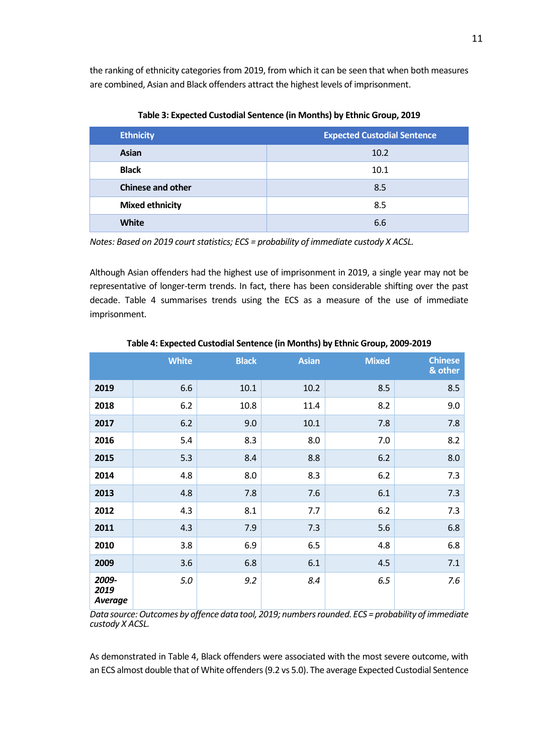the ranking of ethnicity categories from 2019, from which it can be seen that when both measures are combined, Asian and Black offenders attract the highest levels of imprisonment.

| <b>Ethnicity</b>         | <b>Expected Custodial Sentence</b> |
|--------------------------|------------------------------------|
| <b>Asian</b>             | 10.2                               |
| <b>Black</b>             | 10.1                               |
| <b>Chinese and other</b> | 8.5                                |
| <b>Mixed ethnicity</b>   | 8.5                                |
| <b>White</b>             | 6.6                                |

**Table 3: Expected Custodial Sentence (in Months) by Ethnic Group, 2019**

*Notes: Based on 2019 court statistics; ECS = probability of immediate custody X ACSL.*

Although Asian offenders had the highest use of imprisonment in 2019, a single year may not be representative of longer-term trends. In fact, there has been considerable shifting over the past decade. Table 4 summarises trends using the ECS as a measure of the use of immediate imprisonment.

|                                 | <b>White</b> | <b>Black</b> | <b>Asian</b> | <b>Mixed</b> | <b>Chinese</b><br>& other |
|---------------------------------|--------------|--------------|--------------|--------------|---------------------------|
| 2019                            | 6.6          | 10.1         | 10.2         | 8.5          | 8.5                       |
| 2018                            | 6.2          | 10.8         | 11.4         | 8.2          | 9.0                       |
| 2017                            | 6.2          | 9.0          | 10.1         | 7.8          | 7.8                       |
| 2016                            | 5.4          | 8.3          | 8.0          | 7.0          | 8.2                       |
| 2015                            | 5.3          | 8.4          | 8.8          | 6.2          | 8.0                       |
| 2014                            | 4.8          | 8.0          | 8.3          | 6.2          | 7.3                       |
| 2013                            | 4.8          | 7.8          | 7.6          | 6.1          | 7.3                       |
| 2012                            | 4.3          | 8.1          | 7.7          | 6.2          | 7.3                       |
| 2011                            | 4.3          | 7.9          | 7.3          | 5.6          | 6.8                       |
| 2010                            | 3.8          | 6.9          | 6.5          | 4.8          | 6.8                       |
| 2009                            | 3.6          | 6.8          | 6.1          | 4.5          | 7.1                       |
| 2009-<br>2019<br><b>Average</b> | $5.0$        | 9.2          | 8.4          | 6.5          | 7.6                       |

**Table 4: Expected Custodial Sentence (in Months) by Ethnic Group, 2009-2019**

*Data source: Outcomes by offence data tool, 2019; numbers rounded. ECS = probability of immediate custody X ACSL.*

As demonstrated in Table 4, Black offenders were associated with the most severe outcome, with an ECS almost double that of White offenders (9.2 vs 5.0). The average Expected Custodial Sentence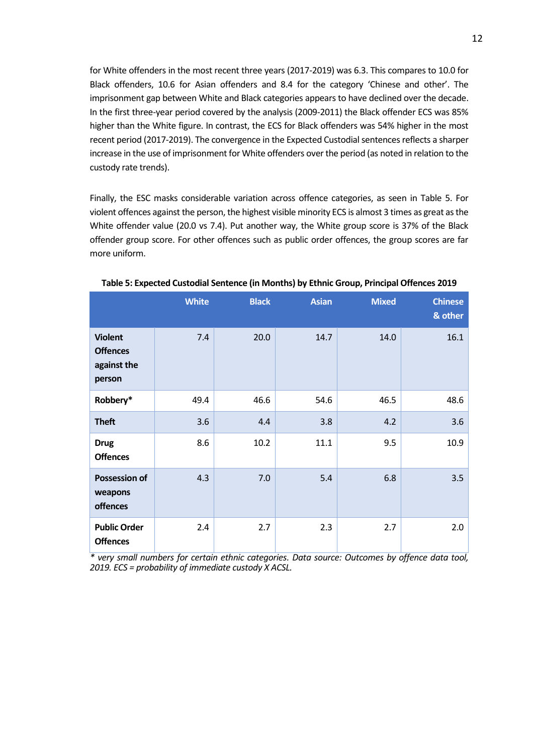for White offenders in the most recent three years (2017-2019) was 6.3. This compares to 10.0 for Black offenders, 10.6 for Asian offenders and 8.4 for the category 'Chinese and other'. The imprisonment gap between White and Black categories appears to have declined over the decade. In the first three-year period covered by the analysis (2009-2011) the Black offender ECS was 85% higher than the White figure. In contrast, the ECS for Black offenders was 54% higher in the most recent period (2017-2019). The convergence in the Expected Custodial sentences reflects a sharper increase in the use of imprisonment for White offenders over the period (as noted in relation to the custody rate trends).

Finally, the ESC masks considerable variation across offence categories, as seen in Table 5. For violent offences against the person, the highest visible minority ECS is almost 3 times as great as the White offender value (20.0 vs 7.4). Put another way, the White group score is 37% of the Black offender group score. For other offences such as public order offences, the group scores are far more uniform.

|                                                            | <b>White</b> | <b>Black</b> | <b>Asian</b> | <b>Mixed</b> | <b>Chinese</b><br>& other |
|------------------------------------------------------------|--------------|--------------|--------------|--------------|---------------------------|
| <b>Violent</b><br><b>Offences</b><br>against the<br>person | 7.4          | 20.0         | 14.7         | 14.0         | 16.1                      |
| Robbery*                                                   | 49.4         | 46.6         | 54.6         | 46.5         | 48.6                      |
| <b>Theft</b>                                               | 3.6          | 4.4          | 3.8          | 4.2          | 3.6                       |
| <b>Drug</b><br><b>Offences</b>                             | 8.6          | 10.2         | 11.1         | 9.5          | 10.9                      |
| <b>Possession of</b><br>weapons<br>offences                | 4.3          | 7.0          | 5.4          | 6.8          | 3.5                       |
| <b>Public Order</b><br><b>Offences</b>                     | 2.4          | 2.7          | 2.3          | 2.7          | 2.0                       |

**Table 5: Expected Custodial Sentence (in Months) by Ethnic Group, Principal Offences 2019**

*\* very small numbers for certain ethnic categories. Data source: Outcomes by offence data tool, 2019. ECS = probability of immediate custody X ACSL.*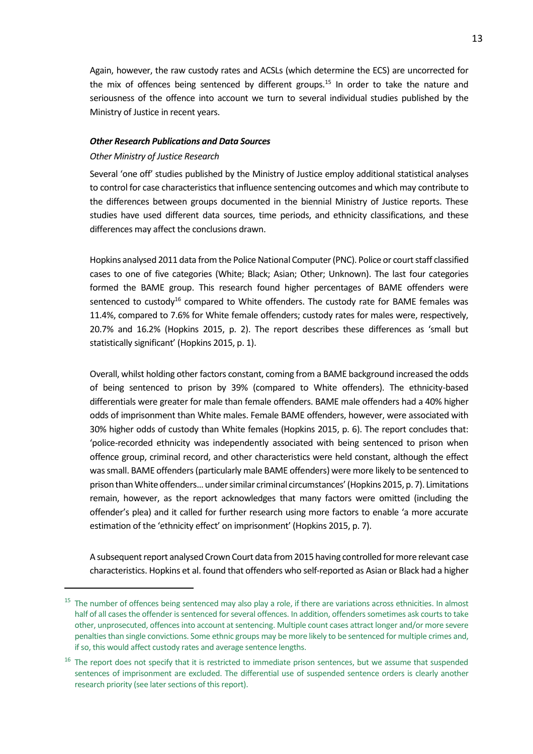Again, however, the raw custody rates and ACSLs (which determine the ECS) are uncorrected for the mix of offences being sentenced by different groups.<sup>15</sup> In order to take the nature and seriousness of the offence into account we turn to several individual studies published by the Ministry of Justice in recent years.

#### *Other Research Publications and Data Sources*

#### *Other Ministry of Justice Research*

Several 'one off' studies published by the Ministry of Justice employ additional statistical analyses to control for case characteristics that influence sentencing outcomes and which may contribute to the differences between groups documented in the biennial Ministry of Justice reports. These studies have used different data sources, time periods, and ethnicity classifications, and these differences may affect the conclusions drawn.

Hopkins analysed 2011 data from the Police National Computer (PNC). Police or court staff classified cases to one of five categories (White; Black; Asian; Other; Unknown). The last four categories formed the BAME group. This research found higher percentages of BAME offenders were sentenced to custody<sup>16</sup> compared to White offenders. The custody rate for BAME females was 11.4%, compared to 7.6% for White female offenders; custody rates for males were, respectively, 20.7% and 16.2% (Hopkins 2015, p. 2). The report describes these differences as 'small but statistically significant' (Hopkins 2015, p. 1).

Overall, whilst holding other factors constant, coming from a BAME background increased the odds of being sentenced to prison by 39% (compared to White offenders). The ethnicity-based differentials were greater for male than female offenders. BAME male offenders had a 40% higher odds of imprisonment than White males. Female BAME offenders, however, were associated with 30% higher odds of custody than White females (Hopkins 2015, p. 6). The report concludes that: 'police-recorded ethnicity was independently associated with being sentenced to prison when offence group, criminal record, and other characteristics were held constant, although the effect was small. BAME offenders (particularly male BAME offenders) were more likely to be sentenced to prison than White offenders… under similar criminal circumstances' (Hopkins 2015, p. 7). Limitations remain, however, as the report acknowledges that many factors were omitted (including the offender's plea) and it called for further research using more factors to enable 'a more accurate estimation of the 'ethnicity effect' on imprisonment' (Hopkins 2015, p. 7).

A subsequent report analysed Crown Court data from 2015 having controlled for more relevant case characteristics. Hopkins et al. found that offenders who self-reported as Asian or Black had a higher

<sup>&</sup>lt;sup>15</sup> The number of offences being sentenced may also play a role, if there are variations across ethnicities. In almost half of all cases the offender is sentenced for several offences. In addition, offenders sometimes ask courts to take other, unprosecuted, offencesinto account at sentencing. Multiple count cases attract longer and/or more severe penalties than single convictions. Some ethnic groups may be more likely to be sentenced for multiple crimes and, if so, this would affect custody rates and average sentence lengths.

<sup>&</sup>lt;sup>16</sup> The report does not specify that it is restricted to immediate prison sentences, but we assume that suspended sentences of imprisonment are excluded. The differential use of suspended sentence orders is clearly another research priority (see later sections of this report).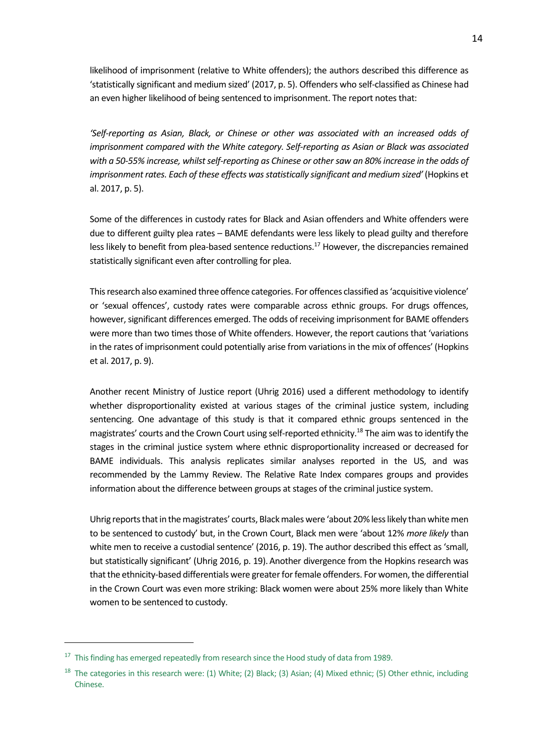likelihood of imprisonment (relative to White offenders); the authors described this difference as 'statistically significant and medium sized' (2017, p. 5). Offenders who self-classified as Chinese had an even higher likelihood of being sentenced to imprisonment. The report notes that:

*'Self-reporting as Asian, Black, or Chinese or other was associated with an increased odds of imprisonment compared with the White category. Self-reporting as Asian or Black was associated with a 50-55% increase, whilst self-reporting as Chinese or other saw an 80% increase in the odds of imprisonment rates. Each of these effects was statistically significant and medium sized'* (Hopkins et al. 2017, p. 5).

Some of the differences in custody rates for Black and Asian offenders and White offenders were due to different guilty plea rates – BAME defendants were less likely to plead guilty and therefore less likely to benefit from plea-based sentence reductions.<sup>17</sup> However, the discrepancies remained statistically significant even after controlling for plea.

This research also examined three offence categories. For offences classified as 'acquisitive violence' or 'sexual offences', custody rates were comparable across ethnic groups. For drugs offences, however, significant differences emerged. The odds of receiving imprisonment for BAME offenders were more than two times those of White offenders. However, the report cautions that 'variations in the rates of imprisonment could potentially arise from variations in the mix of offences' (Hopkins et al. 2017, p. 9).

Another recent Ministry of Justice report (Uhrig 2016) used a different methodology to identify whether disproportionality existed at various stages of the criminal justice system, including sentencing. One advantage of this study is that it compared ethnic groups sentenced in the magistrates' courts and the Crown Court using self-reported ethnicity.<sup>18</sup> The aim was to identify the stages in the criminal justice system where ethnic disproportionality increased or decreased for BAME individuals. This analysis replicates similar analyses reported in the US, and was recommended by the Lammy Review. The Relative Rate Index compares groups and provides information about the difference between groups at stages of the criminal justice system.

Uhrig reports that in the magistrates' courts, Black males were 'about 20% less likely than white men to be sentenced to custody' but, in the Crown Court, Black men were 'about 12% *more likely* than white men to receive a custodial sentence' (2016, p. 19). The author described this effect as 'small, but statistically significant' (Uhrig 2016, p. 19). Another divergence from the Hopkins research was that the ethnicity-based differentials were greater for female offenders. For women, the differential in the Crown Court was even more striking: Black women were about 25% more likely than White women to be sentenced to custody.

 $17$  This finding has emerged repeatedly from research since the Hood study of data from 1989.

<sup>&</sup>lt;sup>18</sup> The categories in this research were: (1) White; (2) Black; (3) Asian; (4) Mixed ethnic; (5) Other ethnic, including Chinese.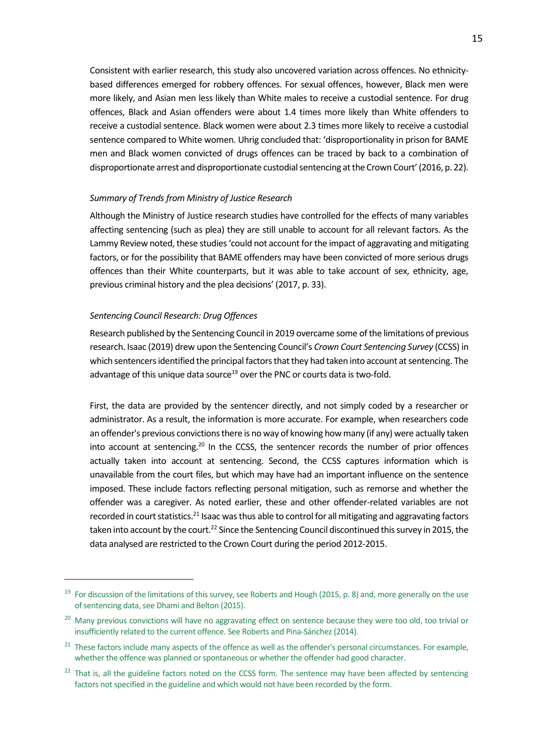Consistent with earlier research, this study also uncovered variation across offences. No ethnicitybased differences emerged for robbery offences. For sexual offences, however, Black men were more likely, and Asian men less likely than White males to receive a custodial sentence. For drug offences, Black and Asian offenders were about 1.4 times more likely than White offenders to receive a custodial sentence. Black women were about 2.3 times more likely to receive a custodial sentence compared to White women. Uhrig concluded that: 'disproportionality in prison for BAME men and Black women convicted of drugs offences can be traced by back to a combination of disproportionate arrest and disproportionate custodial sentencing at the Crown Court' (2016, p. 22).

#### *Summary of Trends from Ministry of Justice Research*

Although the Ministry of Justice research studies have controlled for the effects of many variables affecting sentencing (such as plea) they are still unable to account for all relevant factors. As the Lammy Review noted, these studies 'could not account for the impact of aggravating and mitigating factors, or for the possibility that BAME offenders may have been convicted of more serious drugs offences than their White counterparts, but it was able to take account of sex, ethnicity, age, previous criminal history and the plea decisions' (2017, p. 33).

#### *Sentencing Council Research: Drug Offences*

Research published by the Sentencing Council in 2019 overcame some of the limitations of previous research. Isaac (2019) drew upon the Sentencing Council's *Crown Court Sentencing Survey* (CCSS) in which sentencers identified the principal factors that they had taken into account at sentencing. The advantage of this unique data source<sup>19</sup> over the PNC or courts data is two-fold.

First, the data are provided by the sentencer directly, and not simply coded by a researcher or administrator. As a result, the information is more accurate. For example, when researchers code an offender's previous convictions there is no way of knowing how many (if any) were actually taken into account at sentencing.<sup>20</sup> In the CCSS, the sentencer records the number of prior offences actually taken into account at sentencing. Second, the CCSS captures information which is unavailable from the court files, but which may have had an important influence on the sentence imposed. These include factors reflecting personal mitigation, such as remorse and whether the offender was a caregiver. As noted earlier, these and other offender-related variables are not recorded in court statistics.<sup>21</sup> Isaac was thus able to control for all mitigating and aggravating factors taken into account by the court.<sup>22</sup> Since the Sentencing Council discontinued this survey in 2015, the data analysed are restricted to the Crown Court during the period 2012-2015.

<sup>&</sup>lt;sup>19</sup> For discussion of the limitations of this survey, see Roberts and Hough (2015, p. 8) and, more generally on the use of sentencing data, see Dhami and Belton (2015).

<sup>&</sup>lt;sup>20</sup> Many previous convictions will have no aggravating effect on sentence because they were too old, too trivial or insufficiently related to the current offence. See Roberts and Pina-Sánchez (2014).

<sup>&</sup>lt;sup>21</sup> These factors include many aspects of the offence as well as the offender's personal circumstances. For example, whether the offence was planned or spontaneous or whether the offender had good character.

 $22$  That is, all the guideline factors noted on the CCSS form. The sentence may have been affected by sentencing factors not specified in the guideline and which would not have been recorded by the form.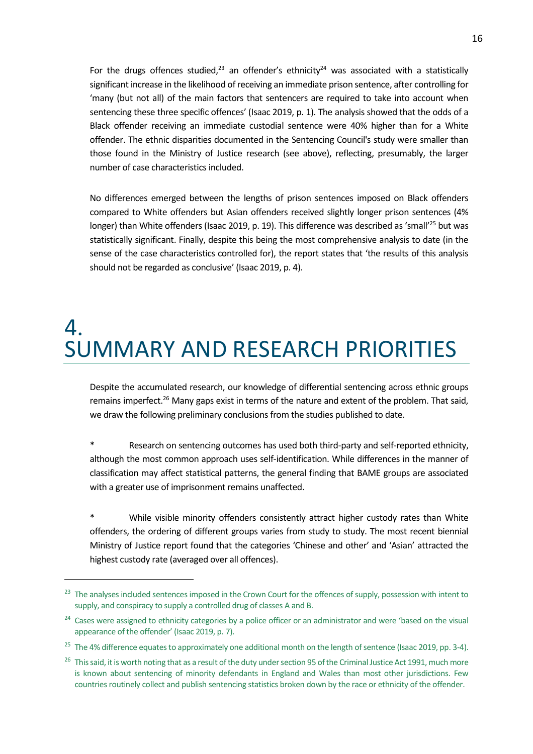For the drugs offences studied,<sup>23</sup> an offender's ethnicity<sup>24</sup> was associated with a statistically significant increase in the likelihood of receiving an immediate prison sentence, after controlling for 'many (but not all) of the main factors that sentencers are required to take into account when sentencing these three specific offences' (Isaac 2019, p. 1). The analysis showed that the odds of a Black offender receiving an immediate custodial sentence were 40% higher than for a White offender. The ethnic disparities documented in the Sentencing Council's study were smaller than those found in the Ministry of Justice research (see above), reflecting, presumably, the larger number of case characteristics included.

No differences emerged between the lengths of prison sentences imposed on Black offenders compared to White offenders but Asian offenders received slightly longer prison sentences (4% longer) than White offenders (Isaac 2019, p. 19). This difference was described as 'small'<sup>25</sup> but was statistically significant. Finally, despite this being the most comprehensive analysis to date (in the sense of the case characteristics controlled for), the report states that 'the results of this analysis should not be regarded as conclusive' (Isaac 2019, p. 4).

### 4. SUMMARY AND RESEARCH PRIORITIES

Despite the accumulated research, our knowledge of differential sentencing across ethnic groups remains imperfect.<sup>26</sup> Many gaps exist in terms of the nature and extent of the problem. That said, we draw the following preliminary conclusions from the studies published to date.

\* Research on sentencing outcomes has used both third-party and self-reported ethnicity, although the most common approach uses self-identification. While differences in the manner of classification may affect statistical patterns, the general finding that BAME groups are associated with a greater use of imprisonment remains unaffected.

While visible minority offenders consistently attract higher custody rates than White offenders, the ordering of different groups varies from study to study. The most recent biennial Ministry of Justice report found that the categories 'Chinese and other' and 'Asian' attracted the highest custody rate (averaged over all offences).

<sup>&</sup>lt;sup>23</sup> The analyses included sentences imposed in the Crown Court for the offences of supply, possession with intent to supply, and conspiracy to supply a controlled drug of classes A and B.

<sup>&</sup>lt;sup>24</sup> Cases were assigned to ethnicity categories by a police officer or an administrator and were 'based on the visual appearance of the offender' (Isaac 2019, p. 7).

<sup>&</sup>lt;sup>25</sup> The 4% difference equates to approximately one additional month on the length of sentence (Isaac 2019, pp. 3-4).

<sup>&</sup>lt;sup>26</sup> This said, it is worth noting that as a result of the duty under section 95 of the Criminal Justice Act 1991, much more is known about sentencing of minority defendants in England and Wales than most other jurisdictions. Few countries routinely collect and publish sentencing statistics broken down by the race or ethnicity of the offender.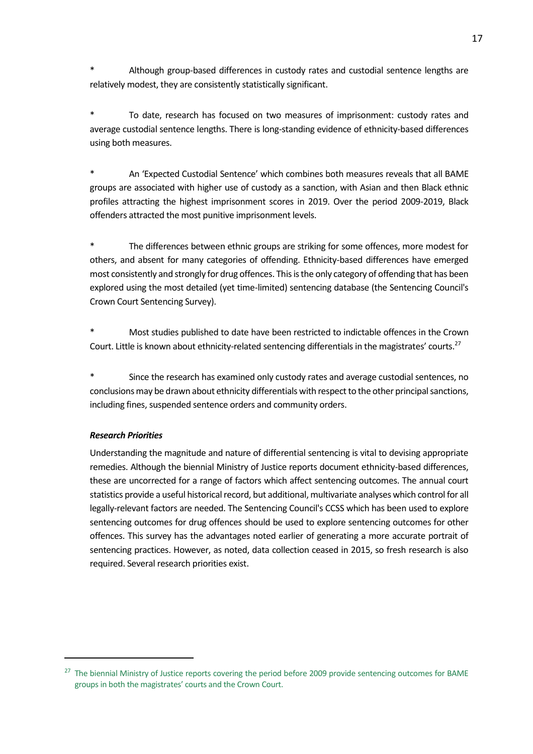Although group-based differences in custody rates and custodial sentence lengths are relatively modest, they are consistently statistically significant.

To date, research has focused on two measures of imprisonment: custody rates and average custodial sentence lengths. There is long-standing evidence of ethnicity-based differences using both measures.

An 'Expected Custodial Sentence' which combines both measures reveals that all BAME groups are associated with higher use of custody as a sanction, with Asian and then Black ethnic profiles attracting the highest imprisonment scores in 2019. Over the period 2009-2019, Black offenders attracted the most punitive imprisonment levels.

The differences between ethnic groups are striking for some offences, more modest for others, and absent for many categories of offending. Ethnicity-based differences have emerged most consistently and strongly for drug offences. This is the only category of offending that has been explored using the most detailed (yet time-limited) sentencing database (the Sentencing Council's Crown Court Sentencing Survey).

Most studies published to date have been restricted to indictable offences in the Crown Court. Little is known about ethnicity-related sentencing differentials in the magistrates' courts.<sup>27</sup>

Since the research has examined only custody rates and average custodial sentences, no conclusions may be drawn about ethnicity differentials with respect to the other principal sanctions, including fines, suspended sentence orders and community orders.

#### *Research Priorities*

Understanding the magnitude and nature of differential sentencing is vital to devising appropriate remedies. Although the biennial Ministry of Justice reports document ethnicity-based differences, these are uncorrected for a range of factors which affect sentencing outcomes. The annual court statistics provide a useful historical record, but additional, multivariate analyses which control for all legally-relevant factors are needed. The Sentencing Council's CCSS which has been used to explore sentencing outcomes for drug offences should be used to explore sentencing outcomes for other offences. This survey has the advantages noted earlier of generating a more accurate portrait of sentencing practices. However, as noted, data collection ceased in 2015, so fresh research is also required. Several research priorities exist.

<sup>&</sup>lt;sup>27</sup> The biennial Ministry of Justice reports covering the period before 2009 provide sentencing outcomes for BAME groups in both the magistrates' courts and the Crown Court.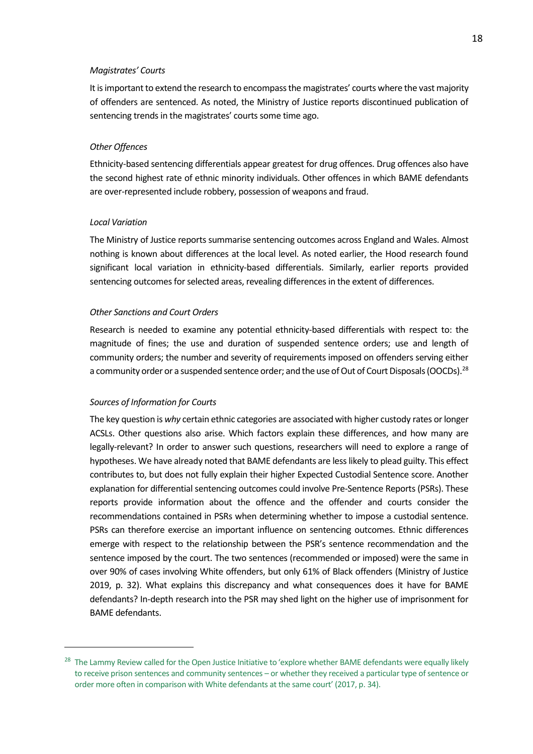#### *Magistrates' Courts*

It is important to extend the research to encompass the magistrates' courts where the vast majority of offenders are sentenced. As noted, the Ministry of Justice reports discontinued publication of sentencing trends in the magistrates' courts some time ago.

#### *Other Offences*

Ethnicity-based sentencing differentials appear greatest for drug offences. Drug offences also have the second highest rate of ethnic minority individuals. Other offences in which BAME defendants are over-represented include robbery, possession of weapons and fraud.

#### *Local Variation*

The Ministry of Justice reports summarise sentencing outcomes across England and Wales. Almost nothing is known about differences at the local level. As noted earlier, the Hood research found significant local variation in ethnicity-based differentials. Similarly, earlier reports provided sentencing outcomes for selected areas, revealing differences in the extent of differences.

#### *Other Sanctions and Court Orders*

Research is needed to examine any potential ethnicity-based differentials with respect to: the magnitude of fines; the use and duration of suspended sentence orders; use and length of community orders; the number and severity of requirements imposed on offenders serving either a community order or a suspended sentence order; and the use of Out of Court Disposals (OOCDs). $^{28}$ 

#### *Sources of Information for Courts*

The key question is *why* certain ethnic categories are associated with higher custody rates or longer ACSLs. Other questions also arise. Which factors explain these differences, and how many are legally-relevant? In order to answer such questions, researchers will need to explore a range of hypotheses. We have already noted that BAME defendants are less likely to plead guilty. This effect contributes to, but does not fully explain their higher Expected Custodial Sentence score. Another explanation for differential sentencing outcomes could involve Pre-Sentence Reports (PSRs). These reports provide information about the offence and the offender and courts consider the recommendations contained in PSRs when determining whether to impose a custodial sentence. PSRs can therefore exercise an important influence on sentencing outcomes. Ethnic differences emerge with respect to the relationship between the PSR's sentence recommendation and the sentence imposed by the court. The two sentences (recommended or imposed) were the same in over 90% of cases involving White offenders, but only 61% of Black offenders (Ministry of Justice 2019, p. 32). What explains this discrepancy and what consequences does it have for BAME defendants? In-depth research into the PSR may shed light on the higher use of imprisonment for BAME defendants.

<sup>&</sup>lt;sup>28</sup> The Lammy Review called for the Open Justice Initiative to 'explore whether BAME defendants were equally likely to receive prison sentences and community sentences – or whether they received a particular type of sentence or order more often in comparison with White defendants at the same court' (2017, p. 34).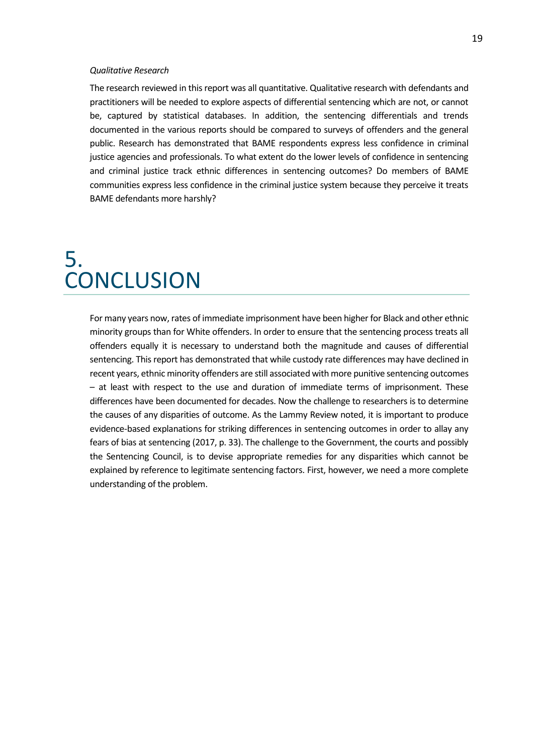#### *Qualitative Research*

The research reviewed in this report was all quantitative. Qualitative research with defendants and practitioners will be needed to explore aspects of differential sentencing which are not, or cannot be, captured by statistical databases. In addition, the sentencing differentials and trends documented in the various reports should be compared to surveys of offenders and the general public. Research has demonstrated that BAME respondents express less confidence in criminal justice agencies and professionals. To what extent do the lower levels of confidence in sentencing and criminal justice track ethnic differences in sentencing outcomes? Do members of BAME communities express less confidence in the criminal justice system because they perceive it treats BAME defendants more harshly?

### 5. **CONCLUSION**

For many years now, rates of immediate imprisonment have been higher for Black and other ethnic minority groups than for White offenders. In order to ensure that the sentencing process treats all offenders equally it is necessary to understand both the magnitude and causes of differential sentencing. This report has demonstrated that while custody rate differences may have declined in recent years, ethnic minority offenders are still associated with more punitive sentencing outcomes – at least with respect to the use and duration of immediate terms of imprisonment. These differences have been documented for decades. Now the challenge to researchers is to determine the causes of any disparities of outcome. As the Lammy Review noted, it is important to produce evidence-based explanations for striking differences in sentencing outcomes in order to allay any fears of bias at sentencing (2017, p. 33). The challenge to the Government, the courts and possibly the Sentencing Council, is to devise appropriate remedies for any disparities which cannot be explained by reference to legitimate sentencing factors. First, however, we need a more complete understanding of the problem.